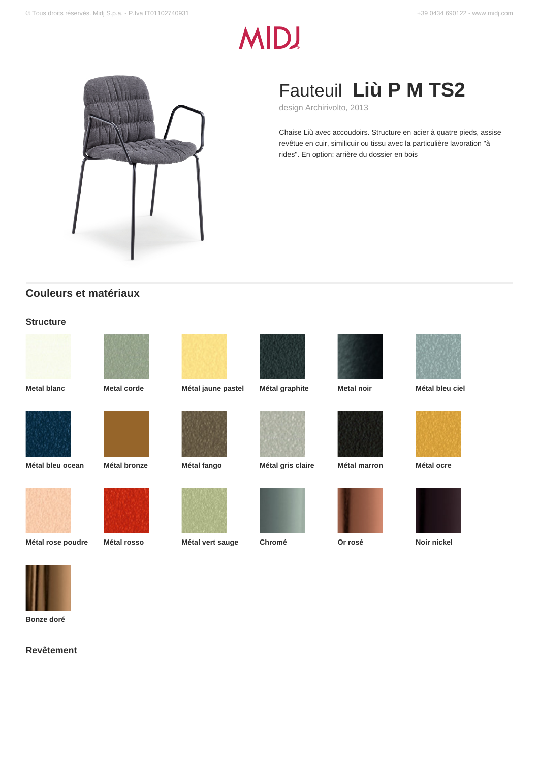# **MIDJ**



## Fauteuil **Liù P M TS2**

design Archirivolto, 2013

Chaise Liù avec accoudoirs. Structure en acier à quatre pieds, assise revêtue en cuir, similicuir ou tissu avec la particulière lavoration "à rides". En option: arrière du dossier en bois

## **Couleurs et matériaux**

#### **Structure**







**Metal blanc Metal corde Métal jaune pastel Métal graphite Metal noir Métal bleu ciel**



















**Métal rose poudre Métal rosso Métal vert sauge Chromé Or rosé Noir nickel**













**Bonze doré**

**Revêtement**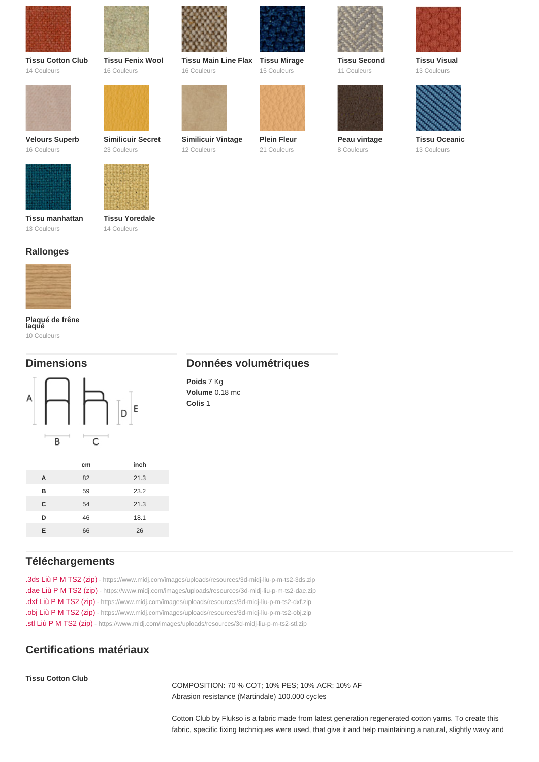| <b>Tissu Cotton Club</b><br>14 Couleurs | <b>Tissu Fenix Wool</b><br>16 Couleurs | <b>Tissu Main Line Flax</b><br>16 Couleurs                       | <b>Tissu Mirage</b><br>15 Couleurs | <b>Tissu Second</b><br>11 Couleurs | <b>Tissu Visual</b><br>13 Couleurs  |
|-----------------------------------------|----------------------------------------|------------------------------------------------------------------|------------------------------------|------------------------------------|-------------------------------------|
| Velours Superb<br>16 Couleurs           | Similicuir Secret<br>23 Couleurs       | Similicuir Vintage<br>12 Couleurs                                | Plein Fleur<br>21 Couleurs         | Peau vintage<br>8 Couleurs         | <b>Tissu Oceanic</b><br>13 Couleurs |
| Tissu manhattan<br>13 Couleurs          | <b>Tissu Yoredale</b><br>14 Couleurs   |                                                                  |                                    |                                    |                                     |
| Rallonges                               |                                        |                                                                  |                                    |                                    |                                     |
| Plaqué de frêne<br>laqué<br>10 Couleurs |                                        |                                                                  |                                    |                                    |                                     |
| <b>Dimensions</b>                       |                                        | Données volumétriques<br>Poids 7 Kg<br>Volume 0.18 mc<br>Colis 1 |                                    |                                    |                                     |

|   | cm | inch |
|---|----|------|
| A | 82 | 21.3 |
| B | 59 | 23.2 |
| C | 54 | 21.3 |
| D | 46 | 18.1 |
| F | 66 | 26   |

## Téléchargements

[.3ds Liù P M TS2 \(zip\)](https://www.midj.com/images/uploads/resources/3d-midj-liu-p-m-ts2-3ds.zip) [- https://www.midj.com/images/uploads/resources/3d-midj-liu-p-m-ts2-3ds.zip](https://www.midj.com/images/uploads/resources/3d-midj-liu-p-m-ts2-3ds.zip) [.dae Liù P M TS2 \(zip\)](https://www.midj.com/images/uploads/resources/3d-midj-liu-p-m-ts2-dae.zip) [- https://www.midj.com/images/uploads/resources/3d-midj-liu-p-m-ts2-dae.zip](https://www.midj.com/images/uploads/resources/3d-midj-liu-p-m-ts2-dae.zip) [.dxf Liù P M TS2 \(zip\)](https://www.midj.com/images/uploads/resources/3d-midj-liu-p-m-ts2-dxf.zip) [- https://www.midj.com/images/uploads/resources/3d-midj-liu-p-m-ts2-dxf.zip](https://www.midj.com/images/uploads/resources/3d-midj-liu-p-m-ts2-dxf.zip) [.obj Liù P M TS2 \(zip\)](https://www.midj.com/images/uploads/resources/3d-midj-liu-p-m-ts2-obj.zip) [- https://www.midj.com/images/uploads/resources/3d-midj-liu-p-m-ts2-obj.zip](https://www.midj.com/images/uploads/resources/3d-midj-liu-p-m-ts2-obj.zip) [.stl Liù P M TS2 \(zip\)](https://www.midj.com/images/uploads/resources/3d-midj-liu-p-m-ts2-stl.zip) [- https://www.midj.com/images/uploads/resources/3d-midj-liu-p-m-ts2-stl.zip](https://www.midj.com/images/uploads/resources/3d-midj-liu-p-m-ts2-stl.zip)

## Certifications matériaux

Tissu Cotton Club

COMPOSITION: 70 % COT; 10% PES; 10% ACR; 10% AF Abrasion resistance (Martindale) 100.000 cycles

Cotton Club by Flukso is a fabric made from latest generation regenerated cotton yarns. To create this fabric, specific fixing techniques were used, that give it and help maintaining a natural, slightly wavy and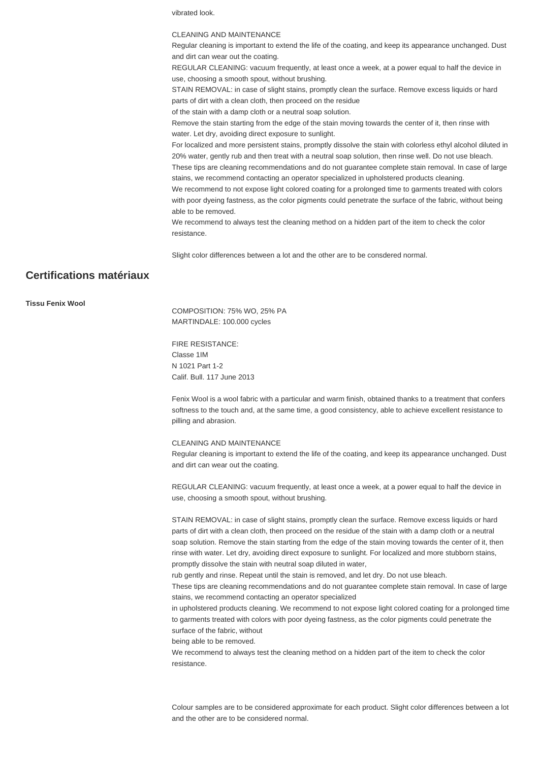vibrated look.

#### CLEANING AND MAINTENANCE

Regular cleaning is important to extend the life of the coating, and keep its appearance unchanged. Dust and dirt can wear out the coating.

REGULAR CLEANING: vacuum frequently, at least once a week, at a power equal to half the device in use, choosing a smooth spout, without brushing.

STAIN REMOVAL: in case of slight stains, promptly clean the surface. Remove excess liquids or hard parts of dirt with a clean cloth, then proceed on the residue

of the stain with a damp cloth or a neutral soap solution.

Remove the stain starting from the edge of the stain moving towards the center of it, then rinse with water. Let dry, avoiding direct exposure to sunlight.

For localized and more persistent stains, promptly dissolve the stain with colorless ethyl alcohol diluted in 20% water, gently rub and then treat with a neutral soap solution, then rinse well. Do not use bleach. These tips are cleaning recommendations and do not guarantee complete stain removal. In case of large

stains, we recommend contacting an operator specialized in upholstered products cleaning. We recommend to not expose light colored coating for a prolonged time to garments treated with colors with poor dyeing fastness, as the color pigments could penetrate the surface of the fabric, without being able to be removed.

We recommend to always test the cleaning method on a hidden part of the item to check the color resistance.

Slight color differences between a lot and the other are to be consdered normal.

## **Certifications matériaux**

**Tissu Fenix Wool**

COMPOSITION: 75% WO, 25% PA MARTINDALE: 100.000 cycles

FIRE RESISTANCE: Classe 1IM N 1021 Part 1-2 Calif. Bull. 117 June 2013

Fenix Wool is a wool fabric with a particular and warm finish, obtained thanks to a treatment that confers softness to the touch and, at the same time, a good consistency, able to achieve excellent resistance to pilling and abrasion.

CLEANING AND MAINTENANCE

Regular cleaning is important to extend the life of the coating, and keep its appearance unchanged. Dust and dirt can wear out the coating.

REGULAR CLEANING: vacuum frequently, at least once a week, at a power equal to half the device in use, choosing a smooth spout, without brushing.

STAIN REMOVAL: in case of slight stains, promptly clean the surface. Remove excess liquids or hard parts of dirt with a clean cloth, then proceed on the residue of the stain with a damp cloth or a neutral soap solution. Remove the stain starting from the edge of the stain moving towards the center of it, then rinse with water. Let dry, avoiding direct exposure to sunlight. For localized and more stubborn stains, promptly dissolve the stain with neutral soap diluted in water,

rub gently and rinse. Repeat until the stain is removed, and let dry. Do not use bleach.

These tips are cleaning recommendations and do not guarantee complete stain removal. In case of large stains, we recommend contacting an operator specialized

in upholstered products cleaning. We recommend to not expose light colored coating for a prolonged time to garments treated with colors with poor dyeing fastness, as the color pigments could penetrate the surface of the fabric, without

being able to be removed.

We recommend to always test the cleaning method on a hidden part of the item to check the color resistance.

Colour samples are to be considered approximate for each product. Slight color differences between a lot and the other are to be considered normal.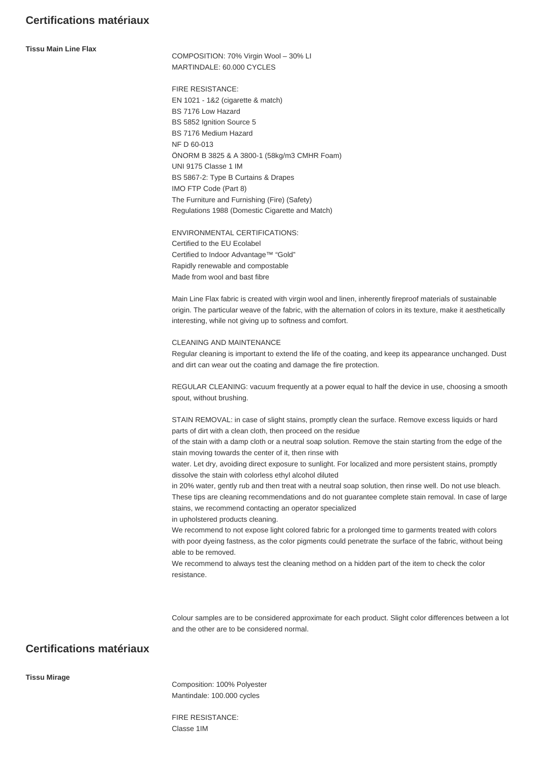## **Certifications matériaux**

**Tissu Main Line Flax**

COMPOSITION: 70% Virgin Wool – 30% LI MARTINDALE: 60.000 CYCLES

FIRE RESISTANCE: EN 1021 - 1&2 (cigarette & match) BS 7176 Low Hazard BS 5852 Ignition Source 5 BS 7176 Medium Hazard NF D 60-013 ÖNORM B 3825 & A 3800-1 (58kg/m3 CMHR Foam) UNI 9175 Classe 1 IM BS 5867-2: Type B Curtains & Drapes IMO FTP Code (Part 8) The Furniture and Furnishing (Fire) (Safety) Regulations 1988 (Domestic Cigarette and Match)

ENVIRONMENTAL CERTIFICATIONS: Certified to the EU Ecolabel Certified to Indoor Advantage™ "Gold" Rapidly renewable and compostable Made from wool and bast fibre

Main Line Flax fabric is created with virgin wool and linen, inherently fireproof materials of sustainable origin. The particular weave of the fabric, with the alternation of colors in its texture, make it aesthetically interesting, while not giving up to softness and comfort.

CLEANING AND MAINTENANCE

Regular cleaning is important to extend the life of the coating, and keep its appearance unchanged. Dust and dirt can wear out the coating and damage the fire protection.

REGULAR CLEANING: vacuum frequently at a power equal to half the device in use, choosing a smooth spout, without brushing.

STAIN REMOVAL: in case of slight stains, promptly clean the surface. Remove excess liquids or hard parts of dirt with a clean cloth, then proceed on the residue

of the stain with a damp cloth or a neutral soap solution. Remove the stain starting from the edge of the stain moving towards the center of it, then rinse with

water. Let dry, avoiding direct exposure to sunlight. For localized and more persistent stains, promptly dissolve the stain with colorless ethyl alcohol diluted

in 20% water, gently rub and then treat with a neutral soap solution, then rinse well. Do not use bleach. These tips are cleaning recommendations and do not guarantee complete stain removal. In case of large stains, we recommend contacting an operator specialized

in upholstered products cleaning.

We recommend to not expose light colored fabric for a prolonged time to garments treated with colors with poor dyeing fastness, as the color pigments could penetrate the surface of the fabric, without being able to be removed.

We recommend to always test the cleaning method on a hidden part of the item to check the color resistance.

Colour samples are to be considered approximate for each product. Slight color differences between a lot and the other are to be considered normal.

## **Certifications matériaux**

**Tissu Mirage**

Composition: 100% Polyester Mantindale: 100.000 cycles

FIRE RESISTANCE: Classe 1IM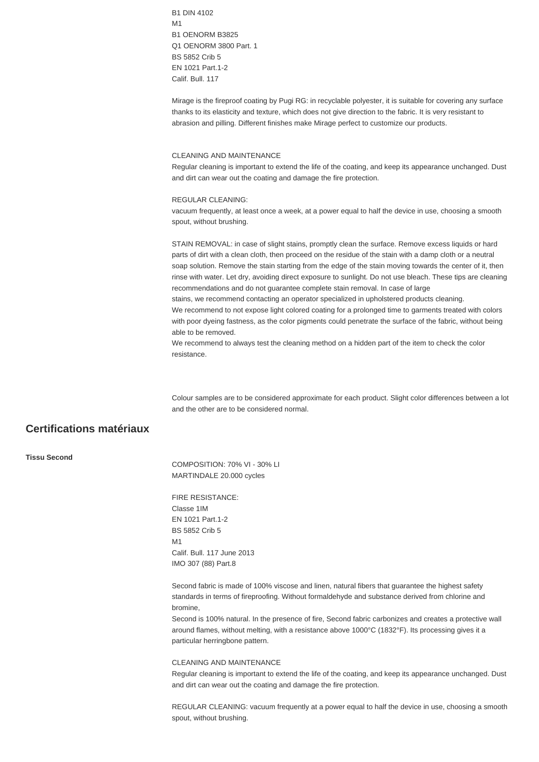B1 DIN 4102 M1 B1 OENORM B3825 Q1 OENORM 3800 Part. 1 BS 5852 Crib 5 EN 1021 Part.1-2 Calif. Bull. 117

Mirage is the fireproof coating by Pugi RG: in recyclable polyester, it is suitable for covering any surface thanks to its elasticity and texture, which does not give direction to the fabric. It is very resistant to abrasion and pilling. Different finishes make Mirage perfect to customize our products.

#### CLEANING AND MAINTENANCE

Regular cleaning is important to extend the life of the coating, and keep its appearance unchanged. Dust and dirt can wear out the coating and damage the fire protection.

#### REGULAR CLEANING:

vacuum frequently, at least once a week, at a power equal to half the device in use, choosing a smooth spout, without brushing.

STAIN REMOVAL: in case of slight stains, promptly clean the surface. Remove excess liquids or hard parts of dirt with a clean cloth, then proceed on the residue of the stain with a damp cloth or a neutral soap solution. Remove the stain starting from the edge of the stain moving towards the center of it, then rinse with water. Let dry, avoiding direct exposure to sunlight. Do not use bleach. These tips are cleaning recommendations and do not guarantee complete stain removal. In case of large stains, we recommend contacting an operator specialized in upholstered products cleaning. We recommend to not expose light colored coating for a prolonged time to garments treated with colors with poor dyeing fastness, as the color pigments could penetrate the surface of the fabric, without being able to be removed.

We recommend to always test the cleaning method on a hidden part of the item to check the color resistance.

Colour samples are to be considered approximate for each product. Slight color differences between a lot and the other are to be considered normal.

## **Certifications matériaux**

#### **Tissu Second**

COMPOSITION: 70% VI - 30% LI MARTINDALE 20.000 cycles

FIRE RESISTANCE: Classe 1IM EN 1021 Part.1-2 BS 5852 Crib 5 M1 Calif. Bull. 117 June 2013 IMO 307 (88) Part.8

Second fabric is made of 100% viscose and linen, natural fibers that guarantee the highest safety standards in terms of fireproofing. Without formaldehyde and substance derived from chlorine and bromine,

Second is 100% natural. In the presence of fire, Second fabric carbonizes and creates a protective wall around flames, without melting, with a resistance above 1000°C (1832°F). Its processing gives it a particular herringbone pattern.

#### CLEANING AND MAINTENANCE

Regular cleaning is important to extend the life of the coating, and keep its appearance unchanged. Dust and dirt can wear out the coating and damage the fire protection.

REGULAR CLEANING: vacuum frequently at a power equal to half the device in use, choosing a smooth spout, without brushing.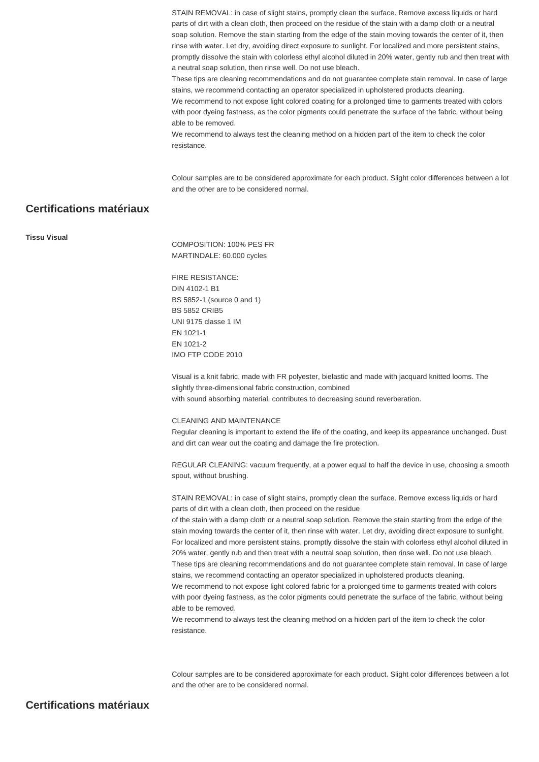STAIN REMOVAL: in case of slight stains, promptly clean the surface. Remove excess liquids or hard parts of dirt with a clean cloth, then proceed on the residue of the stain with a damp cloth or a neutral soap solution. Remove the stain starting from the edge of the stain moving towards the center of it, then rinse with water. Let dry, avoiding direct exposure to sunlight. For localized and more persistent stains, promptly dissolve the stain with colorless ethyl alcohol diluted in 20% water, gently rub and then treat with a neutral soap solution, then rinse well. Do not use bleach.

These tips are cleaning recommendations and do not guarantee complete stain removal. In case of large stains, we recommend contacting an operator specialized in upholstered products cleaning.

We recommend to not expose light colored coating for a prolonged time to garments treated with colors with poor dyeing fastness, as the color pigments could penetrate the surface of the fabric, without being able to be removed.

We recommend to always test the cleaning method on a hidden part of the item to check the color resistance.

Colour samples are to be considered approximate for each product. Slight color differences between a lot and the other are to be considered normal.

## **Certifications matériaux**

#### **Tissu Visual**

COMPOSITION: 100% PES FR MARTINDALE: 60.000 cycles

FIRE RESISTANCE: DIN 4102-1 B1 BS 5852-1 (source 0 and 1) BS 5852 CRIB5 UNI 9175 classe 1 IM EN 1021-1 EN 1021-2 IMO FTP CODE 2010

Visual is a knit fabric, made with FR polyester, bielastic and made with jacquard knitted looms. The slightly three-dimensional fabric construction, combined with sound absorbing material, contributes to decreasing sound reverberation.

#### CLEANING AND MAINTENANCE

Regular cleaning is important to extend the life of the coating, and keep its appearance unchanged. Dust and dirt can wear out the coating and damage the fire protection.

REGULAR CLEANING: vacuum frequently, at a power equal to half the device in use, choosing a smooth spout, without brushing.

STAIN REMOVAL: in case of slight stains, promptly clean the surface. Remove excess liquids or hard parts of dirt with a clean cloth, then proceed on the residue

of the stain with a damp cloth or a neutral soap solution. Remove the stain starting from the edge of the stain moving towards the center of it, then rinse with water. Let dry, avoiding direct exposure to sunlight. For localized and more persistent stains, promptly dissolve the stain with colorless ethyl alcohol diluted in 20% water, gently rub and then treat with a neutral soap solution, then rinse well. Do not use bleach. These tips are cleaning recommendations and do not guarantee complete stain removal. In case of large stains, we recommend contacting an operator specialized in upholstered products cleaning.

We recommend to not expose light colored fabric for a prolonged time to garments treated with colors with poor dyeing fastness, as the color pigments could penetrate the surface of the fabric, without being able to be removed.

We recommend to always test the cleaning method on a hidden part of the item to check the color resistance.

Colour samples are to be considered approximate for each product. Slight color differences between a lot and the other are to be considered normal.

### **Certifications matériaux**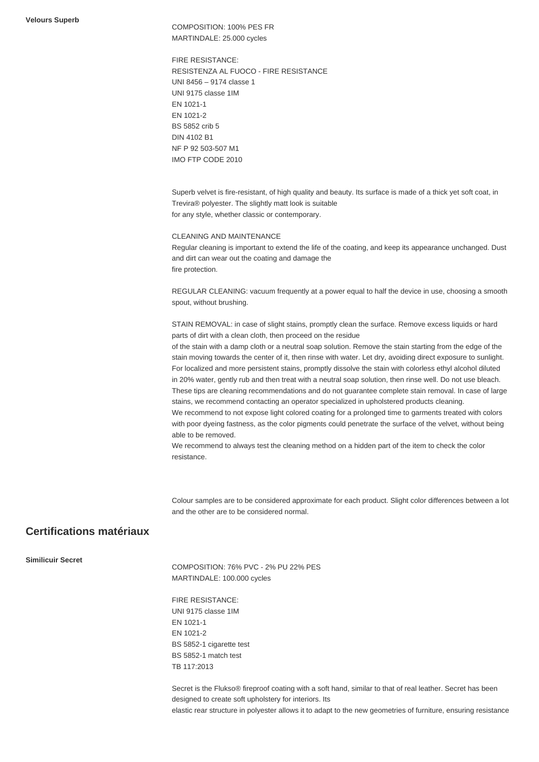COMPOSITION: 100% PES FR MARTINDALE: 25.000 cycles

FIRE RESISTANCE: RESISTENZA AL FUOCO - FIRE RESISTANCE UNI 8456 – 9174 classe 1 UNI 9175 classe 1IM EN 1021-1 EN 1021-2 BS 5852 crib 5 DIN 4102 B1 NF P 92 503-507 M1 IMO FTP CODE 2010

Superb velvet is fire-resistant, of high quality and beauty. Its surface is made of a thick yet soft coat, in Trevira® polyester. The slightly matt look is suitable for any style, whether classic or contemporary.

#### CLEANING AND MAINTENANCE

Regular cleaning is important to extend the life of the coating, and keep its appearance unchanged. Dust and dirt can wear out the coating and damage the fire protection.

REGULAR CLEANING: vacuum frequently at a power equal to half the device in use, choosing a smooth spout, without brushing.

STAIN REMOVAL: in case of slight stains, promptly clean the surface. Remove excess liquids or hard parts of dirt with a clean cloth, then proceed on the residue

of the stain with a damp cloth or a neutral soap solution. Remove the stain starting from the edge of the stain moving towards the center of it, then rinse with water. Let dry, avoiding direct exposure to sunlight. For localized and more persistent stains, promptly dissolve the stain with colorless ethyl alcohol diluted in 20% water, gently rub and then treat with a neutral soap solution, then rinse well. Do not use bleach. These tips are cleaning recommendations and do not guarantee complete stain removal. In case of large stains, we recommend contacting an operator specialized in upholstered products cleaning. We recommend to not expose light colored coating for a prolonged time to garments treated with colors with poor dyeing fastness, as the color pigments could penetrate the surface of the velvet, without being

We recommend to always test the cleaning method on a hidden part of the item to check the color resistance.

Colour samples are to be considered approximate for each product. Slight color differences between a lot and the other are to be considered normal.

## **Certifications matériaux**

**Similicuir Secret**

COMPOSITION: 76% PVC - 2% PU 22% PES MARTINDALE: 100.000 cycles

FIRE RESISTANCE: UNI 9175 classe 1IM EN 1021-1 EN 1021-2 BS 5852-1 cigarette test BS 5852-1 match test TB 117:2013

able to be removed.

Secret is the Flukso® fireproof coating with a soft hand, similar to that of real leather. Secret has been designed to create soft upholstery for interiors. Its elastic rear structure in polyester allows it to adapt to the new geometries of furniture, ensuring resistance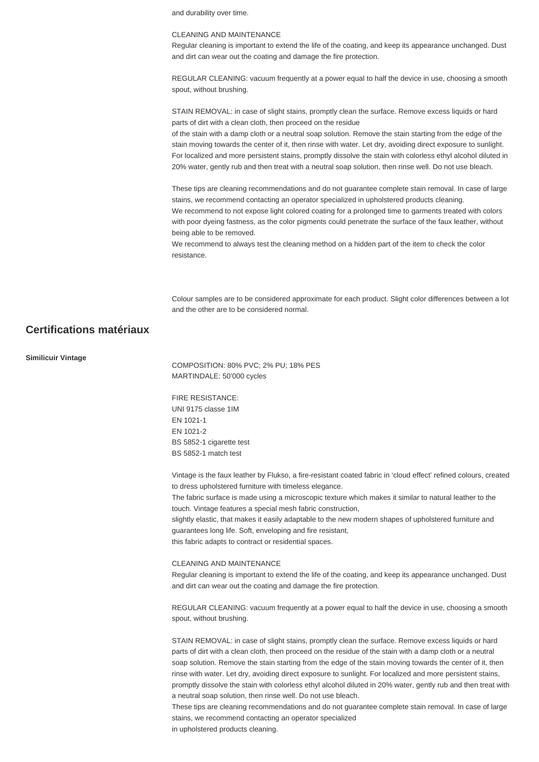and durability over time.

#### CLEANING AND MAINTENANCE

Regular cleaning is important to extend the life of the coating, and keep its appearance unchanged. Dust and dirt can wear out the coating and damage the fire protection.

REGULAR CLEANING: vacuum frequently at a power equal to half the device in use, choosing a smooth spout, without brushing.

STAIN REMOVAL: in case of slight stains, promptly clean the surface. Remove excess liquids or hard parts of dirt with a clean cloth, then proceed on the residue

of the stain with a damp cloth or a neutral soap solution. Remove the stain starting from the edge of the stain moving towards the center of it, then rinse with water. Let dry, avoiding direct exposure to sunlight. For localized and more persistent stains, promptly dissolve the stain with colorless ethyl alcohol diluted in 20% water, gently rub and then treat with a neutral soap solution, then rinse well. Do not use bleach.

These tips are cleaning recommendations and do not guarantee complete stain removal. In case of large stains, we recommend contacting an operator specialized in upholstered products cleaning. We recommend to not expose light colored coating for a prolonged time to garments treated with colors with poor dyeing fastness, as the color pigments could penetrate the surface of the faux leather, without being able to be removed.

We recommend to always test the cleaning method on a hidden part of the item to check the color resistance.

Colour samples are to be considered approximate for each product. Slight color differences between a lot and the other are to be considered normal.

## **Certifications matériaux**

#### **Similicuir Vintage**

COMPOSITION: 80% PVC; 2% PU; 18% PES MARTINDALE: 50'000 cycles

FIRE RESISTANCE: UNI 9175 classe 1IM EN 1021-1 EN 1021-2 BS 5852-1 cigarette test BS 5852-1 match test

Vintage is the faux leather by Flukso, a fire-resistant coated fabric in 'cloud effect' refined colours, created to dress upholstered furniture with timeless elegance.

The fabric surface is made using a microscopic texture which makes it similar to natural leather to the touch. Vintage features a special mesh fabric construction,

slightly elastic, that makes it easily adaptable to the new modern shapes of upholstered furniture and guarantees long life. Soft, enveloping and fire resistant, this fabric adapts to contract or residential spaces.

#### CLEANING AND MAINTENANCE

Regular cleaning is important to extend the life of the coating, and keep its appearance unchanged. Dust and dirt can wear out the coating and damage the fire protection.

REGULAR CLEANING: vacuum frequently at a power equal to half the device in use, choosing a smooth spout, without brushing.

STAIN REMOVAL: in case of slight stains, promptly clean the surface. Remove excess liquids or hard parts of dirt with a clean cloth, then proceed on the residue of the stain with a damp cloth or a neutral soap solution. Remove the stain starting from the edge of the stain moving towards the center of it, then rinse with water. Let dry, avoiding direct exposure to sunlight. For localized and more persistent stains, promptly dissolve the stain with colorless ethyl alcohol diluted in 20% water, gently rub and then treat with a neutral soap solution, then rinse well. Do not use bleach.

These tips are cleaning recommendations and do not guarantee complete stain removal. In case of large stains, we recommend contacting an operator specialized

in upholstered products cleaning.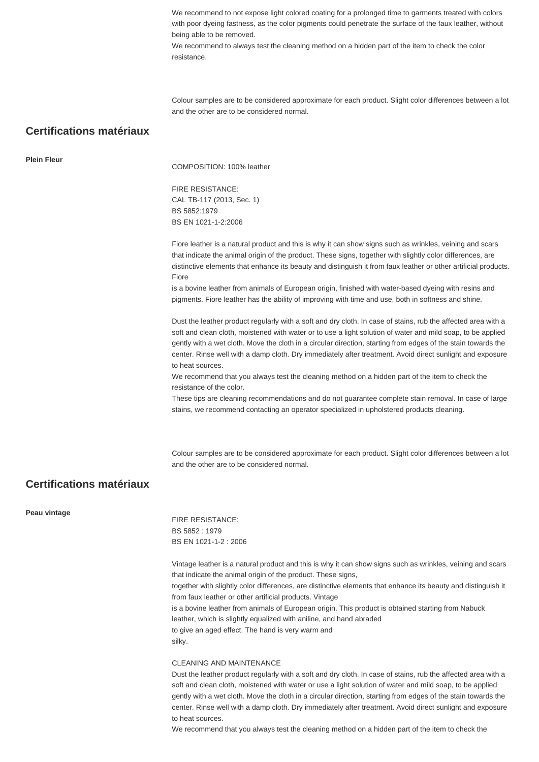We recommend to not expose light colored coating for a prolonged time to garments treated with colors with poor dyeing fastness, as the color pigments could penetrate the surface of the faux leather, without being able to be removed.

We recommend to always test the cleaning method on a hidden part of the item to check the color resistance.

Colour samples are to be considered approximate for each product. Slight color differences between a lot and the other are to be considered normal.

## **Certifications matériaux**

**Plein Fleur**

COMPOSITION: 100% leather

FIRE RESISTANCE: CAL TB-117 (2013, Sec. 1) BS 5852:1979 BS EN 1021-1-2:2006

Fiore leather is a natural product and this is why it can show signs such as wrinkles, veining and scars that indicate the animal origin of the product. These signs, together with slightly color differences, are distinctive elements that enhance its beauty and distinguish it from faux leather or other artificial products. Fiore

is a bovine leather from animals of European origin, finished with water-based dyeing with resins and pigments. Fiore leather has the ability of improving with time and use, both in softness and shine.

Dust the leather product regularly with a soft and dry cloth. In case of stains, rub the affected area with a soft and clean cloth, moistened with water or to use a light solution of water and mild soap, to be applied gently with a wet cloth. Move the cloth in a circular direction, starting from edges of the stain towards the center. Rinse well with a damp cloth. Dry immediately after treatment. Avoid direct sunlight and exposure to heat sources.

We recommend that you always test the cleaning method on a hidden part of the item to check the resistance of the color.

These tips are cleaning recommendations and do not guarantee complete stain removal. In case of large stains, we recommend contacting an operator specialized in upholstered products cleaning.

Colour samples are to be considered approximate for each product. Slight color differences between a lot and the other are to be considered normal.

## **Certifications matériaux**

**Peau vintage**

FIRE RESISTANCE: BS 5852 : 1979 BS EN 1021-1-2 : 2006

Vintage leather is a natural product and this is why it can show signs such as wrinkles, veining and scars that indicate the animal origin of the product. These signs,

together with slightly color differences, are distinctive elements that enhance its beauty and distinguish it from faux leather or other artificial products. Vintage

is a bovine leather from animals of European origin. This product is obtained starting from Nabuck leather, which is slightly equalized with aniline, and hand abraded

to give an aged effect. The hand is very warm and silky.

#### CLEANING AND MAINTENANCE

Dust the leather product regularly with a soft and dry cloth. In case of stains, rub the affected area with a soft and clean cloth, moistened with water or use a light solution of water and mild soap, to be applied gently with a wet cloth. Move the cloth in a circular direction, starting from edges of the stain towards the center. Rinse well with a damp cloth. Dry immediately after treatment. Avoid direct sunlight and exposure to heat sources.

We recommend that you always test the cleaning method on a hidden part of the item to check the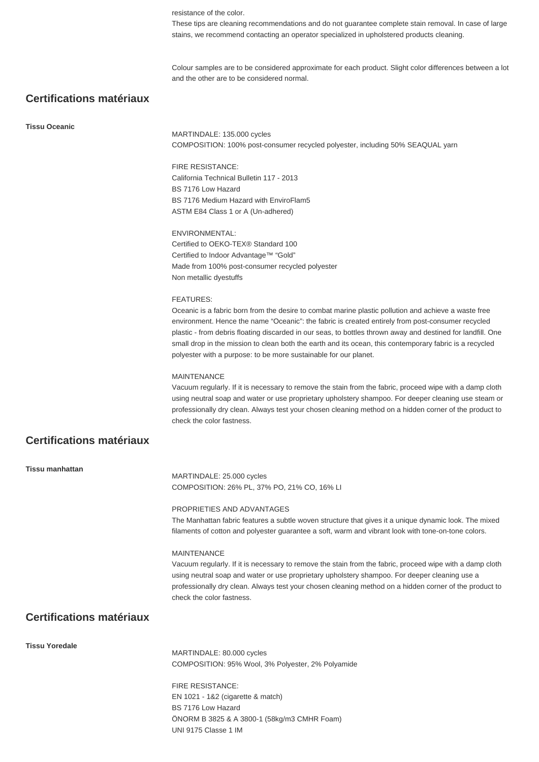resistance of the color.

These tips are cleaning recommendations and do not guarantee complete stain removal. In case of large stains, we recommend contacting an operator specialized in upholstered products cleaning.

Colour samples are to be considered approximate for each product. Slight color differences between a lot and the other are to be considered normal.

## **Certifications matériaux**

#### **Tissu Oceanic**

MARTINDALE: 135.000 cycles COMPOSITION: 100% post-consumer recycled polyester, including 50% SEAQUAL yarn

#### FIRE RESISTANCE:

California Technical Bulletin 117 - 2013 BS 7176 Low Hazard BS 7176 Medium Hazard with EnviroFlam5 ASTM E84 Class 1 or A (Un-adhered)

ENVIRONMENTAL: Certified to OEKO-TEX® Standard 100 Certified to Indoor Advantage™ "Gold" Made from 100% post-consumer recycled polyester Non metallic dyestuffs

#### FEATURES:

Oceanic is a fabric born from the desire to combat marine plastic pollution and achieve a waste free environment. Hence the name "Oceanic": the fabric is created entirely from post-consumer recycled plastic - from debris floating discarded in our seas, to bottles thrown away and destined for landfill. One small drop in the mission to clean both the earth and its ocean, this contemporary fabric is a recycled polyester with a purpose: to be more sustainable for our planet.

#### MAINTENANCE

Vacuum regularly. If it is necessary to remove the stain from the fabric, proceed wipe with a damp cloth using neutral soap and water or use proprietary upholstery shampoo. For deeper cleaning use steam or professionally dry clean. Always test your chosen cleaning method on a hidden corner of the product to check the color fastness.

## **Certifications matériaux**

**Tissu manhattan**

MARTINDALE: 25.000 cycles COMPOSITION: 26% PL, 37% PO, 21% CO, 16% LI

#### PROPRIETIES AND ADVANTAGES

The Manhattan fabric features a subtle woven structure that gives it a unique dynamic look. The mixed filaments of cotton and polyester guarantee a soft, warm and vibrant look with tone-on-tone colors.

#### **MAINTENANCE**

Vacuum regularly. If it is necessary to remove the stain from the fabric, proceed wipe with a damp cloth using neutral soap and water or use proprietary upholstery shampoo. For deeper cleaning use a professionally dry clean. Always test your chosen cleaning method on a hidden corner of the product to check the color fastness.

## **Certifications matériaux**

#### **Tissu Yoredale**

MARTINDALE: 80.000 cycles COMPOSITION: 95% Wool, 3% Polyester, 2% Polyamide

FIRE RESISTANCE: EN 1021 - 1&2 (cigarette & match) BS 7176 Low Hazard ÖNORM B 3825 & A 3800-1 (58kg/m3 CMHR Foam) UNI 9175 Classe 1 IM